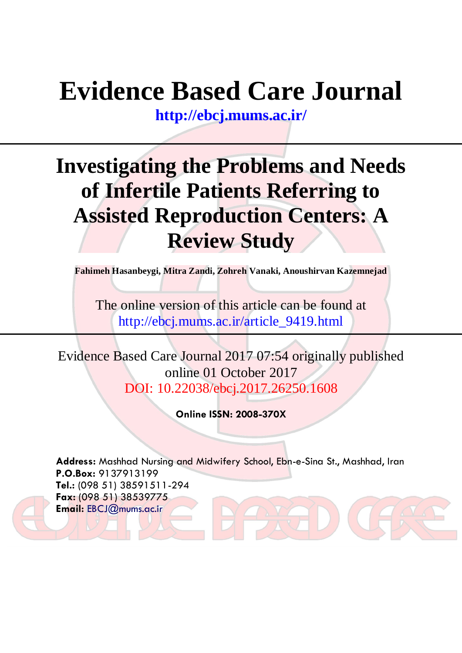# **Evidence Based Care Journal**

**<http://ebcj.mums.ac.ir/>**

## **Investigating the Problems and Needs of Infertile Patients Referring to Assisted Reproduction Centers: A Review Study**

**Fahimeh Hasanbeygi, Mitra Zandi, Zohreh Vanaki, Anoushirvan Kazemnejad** 

The online version of this article can be found at http://ebcj.mums.ac.ir/article\_9419.html

Evidence Based Care Journal 2017 07:54 originally published online 01 October 2017 DOI: 10.22038/ebcj.2017.26250.1608

**Online ISSN: 2008-370X**

**Address:** Mashhad Nursing and Midwifery School, Ebn-e-Sina St., Mashhad, Iran **P.O.Box:** 9137913199 **Tel.:** (098 51) 38591511-294 **Fax:** (098 51) 38539775 **Email:** [EBCJ@mums.ac.ir](mailto:EBCJ@mums.ac.ir)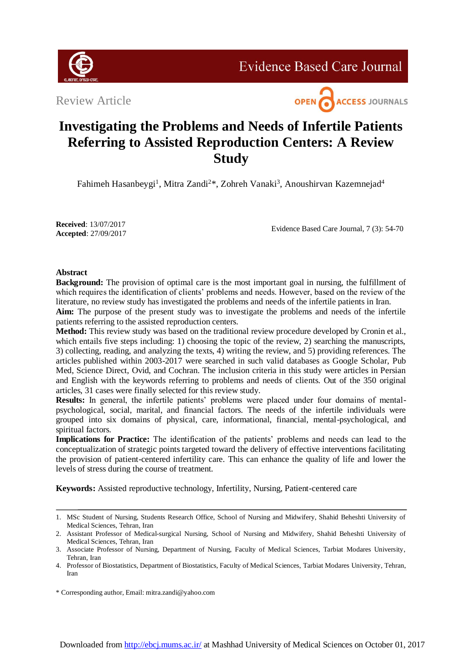

**Evidence Based Care Journal** 

Review Article



### **Investigating the Problems and Needs of Infertile Patients Referring to Assisted Reproduction Centers: A Review Study**

Fahimeh Hasanbeygi<sup>1</sup>, Mitra Zandi<sup>2\*</sup>, Zohreh Vanaki<sup>3</sup>, Anoushirvan Kazemnejad<sup>4</sup>

**Received**: 13/07/2017 **Accepted**: 27/09/2017

Evidence Based Care Journal, 7 (3): 54-70

#### **Abstract**

**Background:** The provision of optimal care is the most important goal in nursing, the fulfillment of which requires the identification of clients' problems and needs. However, based on the review of the literature, no review study has investigated the problems and needs of the infertile patients in Iran.

**Aim:** The purpose of the present study was to investigate the problems and needs of the infertile patients referring to the assisted reproduction centers.

**Method:** This review study was based on the traditional review procedure developed by Cronin et al., which entails five steps including: 1) choosing the topic of the review, 2) searching the manuscripts, 3) collecting, reading, and analyzing the texts, 4) writing the review, and 5) providing references. The articles published within 2003-2017 were searched in such valid databases as Google Scholar, Pub Med, Science Direct, Ovid, and Cochran. The inclusion criteria in this study were articles in Persian and English with the keywords referring to problems and needs of clients. Out of the 350 original articles, 31 cases were finally selected for this review study.

**Results:** In general, the infertile patients' problems were placed under four domains of mentalpsychological, social, marital, and financial factors. The needs of the infertile individuals were grouped into six domains of physical, care, informational, financial, mental-psychological, and spiritual factors.

**Implications for Practice:** The identification of the patients' problems and needs can lead to the conceptualization of strategic points targeted toward the delivery of effective interventions facilitating the provision of patient-centered infertility care. This can enhance the quality of life and lower the levels of stress during the course of treatment.

**Keywords:** Assisted reproductive technology, Infertility, Nursing, Patient-centered care

<sup>1.</sup> MSc Student of Nursing, Students Research Office, School of Nursing and Midwifery, Shahid Beheshti University of Medical Sciences, Tehran, Iran

<sup>2.</sup> Assistant Professor of Medical-surgical Nursing, School of Nursing and Midwifery, Shahid Beheshti University of Medical Sciences, Tehran, Iran

<sup>3.</sup> Associate Professor of Nursing, Department of Nursing, Faculty of Medical Sciences, Tarbiat Modares University, Tehran, Iran

<sup>4.</sup> Professor of Biostatistics, Department of Biostatistics, Faculty of Medical Sciences, [Tarbiat Modares University,](https://scholar.google.com/citations?view_op=view_org&hl=en&org=8940115736409083918) Tehran, Iran

<sup>\*</sup> Corresponding author, Email: mitra.zandi@yahoo.com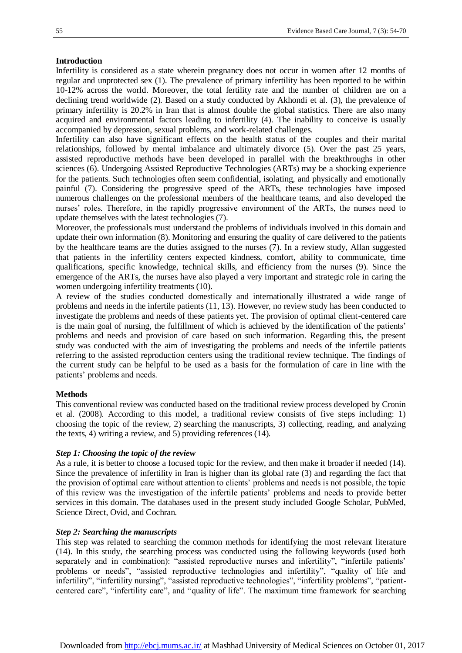#### **Introduction**

Infertility is considered as a state wherein pregnancy does not occur in women after 12 months of regular and unprotected sex (1). The prevalence of primary infertility has been reported to be within 10-12% across the world. Moreover, the total fertility rate and the number of children are on a declining trend worldwide (2). Based on a study conducted by Akhondi et al. (3), the prevalence of primary infertility is 20.2% in Iran that is almost double the global statistics. There are also many acquired and environmental factors leading to infertility (4). The inability to conceive is usually accompanied by depression, sexual problems, and work-related challenges.

Infertility can also have significant effects on the health status of the couples and their marital relationships, followed by mental imbalance and ultimately divorce (5). Over the past 25 years, assisted reproductive methods have been developed in parallel with the breakthroughs in other sciences (6). Undergoing Assisted Reproductive Technologies (ARTs) may be a shocking experience for the patients. Such technologies often seem confidential, isolating, and physically and emotionally painful (7). Considering the progressive speed of the ARTs, these technologies have imposed numerous challenges on the professional members of the healthcare teams, and also developed the nurses' roles. Therefore, in the rapidly progressive environment of the ARTs, the nurses need to update themselves with the latest technologies (7).

Moreover, the professionals must understand the problems of individuals involved in this domain and update their own information (8). Monitoring and ensuring the quality of care delivered to the patients by the healthcare teams are the duties assigned to the nurses (7). In a review study, Allan suggested that patients in the infertility centers expected kindness, comfort, ability to communicate, time qualifications, specific knowledge, technical skills, and efficiency from the nurses (9). Since the emergence of the ARTs, the nurses have also played a very important and strategic role in caring the women undergoing infertility treatments (10).

A review of the studies conducted domestically and internationally illustrated a wide range of problems and needs in the infertile patients (11, 13). However, no review study has been conducted to investigate the problems and needs of these patients yet. The provision of optimal client-centered care is the main goal of nursing, the fulfillment of which is achieved by the identification of the patients' problems and needs and provision of care based on such information. Regarding this, the present study was conducted with the aim of investigating the problems and needs of the infertile patients referring to the assisted reproduction centers using the traditional review technique. The findings of the current study can be helpful to be used as a basis for the formulation of care in line with the patients' problems and needs.

#### **Methods**

This conventional review was conducted based on the traditional review process developed by Cronin et al. (2008). According to this model, a traditional review consists of five steps including: 1) choosing the topic of the review, 2) searching the manuscripts, 3) collecting, reading, and analyzing the texts, 4) writing a review, and 5) providing references (14).

#### *Step 1: Choosing the topic of the review*

As a rule, it is better to choose a focused topic for the review, and then make it broader if needed (14). Since the prevalence of infertility in Iran is higher than its global rate (3) and regarding the fact that the provision of optimal care without attention to clients' problems and needs is not possible, the topic of this review was the investigation of the infertile patients' problems and needs to provide better services in this domain. The databases used in the present study included Google Scholar, PubMed, Science Direct, Ovid, and Cochran.

#### *Step 2: Searching the manuscripts*

This step was related to searching the common methods for identifying the most relevant literature (14). In this study, the searching process was conducted using the following keywords (used both separately and in combination): "assisted reproductive nurses and infertility", "infertile patients' problems or needs", "assisted reproductive technologies and infertility", "quality of life and infertility", "infertility nursing", "assisted reproductive technologies", "infertility problems", "patientcentered care", "infertility care", and "quality of life". The maximum time framework for searching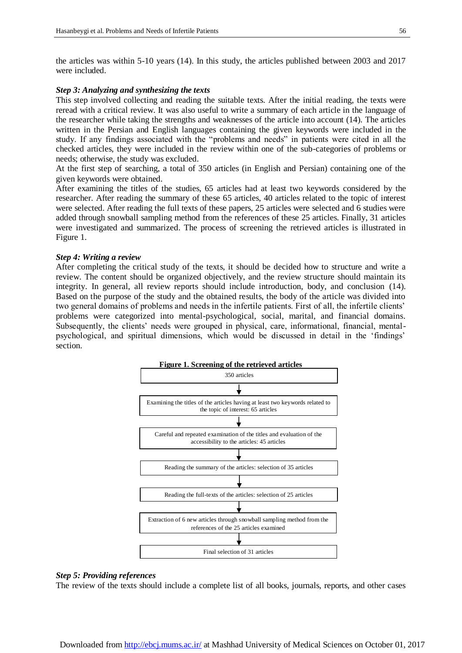the articles was within 5-10 years (14). In this study, the articles published between 2003 and 2017 were included.

#### *Step 3: Analyzing and synthesizing the texts*

This step involved collecting and reading the suitable texts. After the initial reading, the texts were reread with a critical review. It was also useful to write a summary of each article in the language of the researcher while taking the strengths and weaknesses of the article into account (14). The articles written in the Persian and English languages containing the given keywords were included in the study. If any findings associated with the "problems and needs" in patients were cited in all the checked articles, they were included in the review within one of the sub-categories of problems or needs; otherwise, the study was excluded.

At the first step of searching, a total of 350 articles (in English and Persian) containing one of the given keywords were obtained.

After examining the titles of the studies, 65 articles had at least two keywords considered by the researcher. After reading the summary of these 65 articles, 40 articles related to the topic of interest were selected. After reading the full texts of these papers, 25 articles were selected and 6 studies were added through snowball sampling method from the references of these 25 articles. Finally, 31 articles were investigated and summarized. The process of screening the retrieved articles is illustrated in Figure 1.

#### *Step 4: Writing a review*

After completing the critical study of the texts, it should be decided how to structure and write a review. The content should be organized objectively, and the review structure should maintain its integrity. In general, all review reports should include introduction, body, and conclusion (14). Based on the purpose of the study and the obtained results, the body of the article was divided into two general domains of problems and needs in the infertile patients. First of all, the infertile clients' problems were categorized into mental-psychological, social, marital, and financial domains. Subsequently, the clients' needs were grouped in physical, care, informational, financial, mentalpsychological, and spiritual dimensions, which would be discussed in detail in the 'findings' section.



#### *Step 5: Providing references*

The review of the texts should include a complete list of all books, journals, reports, and other cases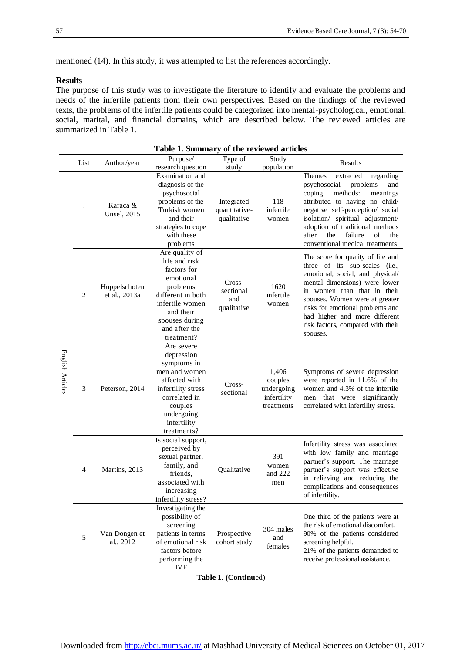mentioned (14). In this study, it was attempted to list the references accordingly.

#### **Results**

The purpose of this study was to investigate the literature to identify and evaluate the problems and needs of the infertile patients from their own perspectives. Based on the findings of the reviewed texts, the problems of the infertile patients could be categorized into mental-psychological, emotional, social, marital, and financial domains, which are described below. The reviewed articles are summarized in Table 1.

|                  | Table 1. Summary of the reviewed articles |                                 |                                                                                                                                                                               |                                            |                                                             |                                                                                                                                                                                                                                                                                                                                 |  |
|------------------|-------------------------------------------|---------------------------------|-------------------------------------------------------------------------------------------------------------------------------------------------------------------------------|--------------------------------------------|-------------------------------------------------------------|---------------------------------------------------------------------------------------------------------------------------------------------------------------------------------------------------------------------------------------------------------------------------------------------------------------------------------|--|
|                  | List                                      | Author/year                     | Purpose/                                                                                                                                                                      | Type of                                    | Study                                                       | Results                                                                                                                                                                                                                                                                                                                         |  |
| English Articles |                                           |                                 | research question                                                                                                                                                             | study                                      | population                                                  |                                                                                                                                                                                                                                                                                                                                 |  |
|                  | 1                                         | Karaca &<br><b>Unsel</b> , 2015 | Examination and<br>diagnosis of the<br>psychosocial<br>problems of the<br>Turkish women<br>and their<br>strategies to cope<br>with these<br>problems                          | Integrated<br>quantitative-<br>qualitative | 118<br>infertile<br>women                                   | Themes<br>extracted<br>regarding<br>psychosocial<br>problems<br>and<br>coping<br>methods:<br>meanings<br>attributed to having no child/<br>negative self-perception/ social<br>isolation/ spiritual adjustment/<br>adoption of traditional methods<br>after<br>the<br>failure<br>of<br>the<br>conventional medical treatments   |  |
|                  | $\overline{2}$                            | Huppelschoten<br>et al., 2013a  | Are quality of<br>life and risk<br>factors for<br>emotional<br>problems<br>different in both<br>infertile women<br>and their<br>spouses during<br>and after the<br>treatment? | Cross-<br>sectional<br>and<br>qualitative  | 1620<br>infertile<br>women                                  | The score for quality of life and<br>three of its sub-scales (i.e.,<br>emotional, social, and physical/<br>mental dimensions) were lower<br>in women than that in their<br>spouses. Women were at greater<br>risks for emotional problems and<br>had higher and more different<br>risk factors, compared with their<br>spouses. |  |
|                  | 3                                         | Peterson, 2014                  | Are severe<br>depression<br>symptoms in<br>men and women<br>affected with<br>infertility stress<br>correlated in<br>couples<br>undergoing<br>infertility<br>treatments?       | Cross-<br>sectional                        | 1,406<br>couples<br>undergoing<br>infertility<br>treatments | Symptoms of severe depression<br>were reported in 11.6% of the<br>women and 4.3% of the infertile<br>significantly<br>men that were<br>correlated with infertility stress.                                                                                                                                                      |  |
|                  | 4                                         | Martins, 2013                   | Is social support,<br>perceived by<br>sexual partner,<br>family, and<br>friends.<br>associated with<br>increasing<br>infertility stress?                                      | Qualitative                                | 391<br>women<br>and 222<br>men                              | Infertility stress was associated<br>with low family and marriage<br>partner's support. The marriage<br>partner's support was effective<br>in relieving and reducing the<br>complications and consequences<br>of infertility.                                                                                                   |  |
|                  | 5                                         | Van Dongen et<br>al., 2012      | Investigating the<br>possibility of<br>screening<br>patients in terms<br>of emotional risk<br>factors before<br>performing the<br><b>IVF</b>                                  | Prospective<br>cohort study                | 304 males<br>and<br>females                                 | One third of the patients were at<br>the risk of emotional discomfort.<br>90% of the patients considered<br>screening helpful.<br>21% of the patients demanded to<br>receive professional assistance.                                                                                                                           |  |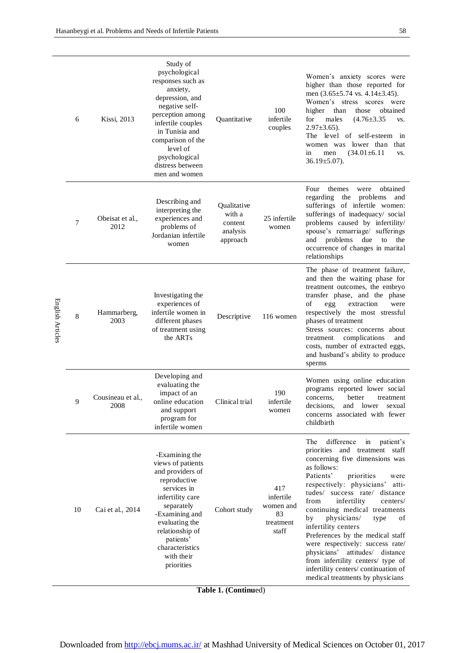$\overline{\phantom{0}}$ 

|                  |    |                           | Study of                                                                                                                                                                                                                                    |                                                          |                                                           |                                                                                                                                                                                                                                                                                                                                                                                                                                                                                                                                                                                                  |
|------------------|----|---------------------------|---------------------------------------------------------------------------------------------------------------------------------------------------------------------------------------------------------------------------------------------|----------------------------------------------------------|-----------------------------------------------------------|--------------------------------------------------------------------------------------------------------------------------------------------------------------------------------------------------------------------------------------------------------------------------------------------------------------------------------------------------------------------------------------------------------------------------------------------------------------------------------------------------------------------------------------------------------------------------------------------------|
|                  | 6  | <b>Kissi</b> , 2013       | psychological<br>responses such as<br>anxiety,<br>depression, and<br>negative self-<br>perception among<br>infertile couples<br>in Tunisia and<br>comparison of the<br>level of<br>psychological<br>distress between<br>men and women       | Quantitative                                             | 100<br>infertile<br>couples                               | Women's anxiety scores were<br>higher than those reported for<br>men $(3.65\pm5.74 \text{ vs. } 4.14\pm3.45)$ .<br>Women's stress scores were<br>higher<br>than<br>obtained<br>those<br>for<br>males<br>$(4.76 \pm 3.35)$<br>VS.<br>$2.97 \pm 3.65$ ).<br>The level of self-esteem<br>in<br>lower than<br>that<br>women was<br>$(34.01 \pm 6.11$<br>in<br>men<br>VS.<br>$36.19 \pm 5.07$ ).                                                                                                                                                                                                      |
|                  | 7  | Obeisat et al.,<br>2012   | Describing and<br>interpreting the<br>experiences and<br>problems of<br>Jordanian infertile<br>women                                                                                                                                        | Qualitative<br>with a<br>content<br>analysis<br>approach | 25 infertile<br>women                                     | Four<br>themes<br>obtained<br>were<br>the<br>regarding<br>problems<br>and<br>sufferings of infertile women:<br>sufferings of inadequacy/ social<br>problems caused by infertility/<br>spouse's remarriage/ sufferings<br>and problems<br>due<br>to<br>the<br>occurrence of changes in marital<br>relationships                                                                                                                                                                                                                                                                                   |
| English Articles | 8  | Hammarberg,<br>2003       | Investigating the<br>experiences of<br>infertile women in<br>different phases<br>of treatment using<br>the ARTs                                                                                                                             | Descriptive                                              | 116 women                                                 | The phase of treatment failure,<br>and then the waiting phase for<br>treatment outcomes, the embryo<br>transfer phase, and the phase<br>of<br>extraction<br>egg<br>were<br>respectively the most stressful<br>phases of treatment<br>Stress sources: concerns about<br>complications<br>treatment<br>and<br>costs, number of extracted eggs,<br>and husband's ability to produce<br>sperms                                                                                                                                                                                                       |
|                  | 9  | Cousineau et al.,<br>2008 | Developing and<br>evaluating the<br>impact of an<br>online education<br>and support<br>program for<br>infertile women                                                                                                                       | Clinical trial                                           | 190<br>infertile<br>women                                 | Women using online education<br>programs reported lower social<br>better<br>concerns,<br>treatment<br>decisions,<br>lower<br>and<br>sexual<br>concerns associated with fewer<br>childbirth                                                                                                                                                                                                                                                                                                                                                                                                       |
|                  | 10 | Cai et al., 2014          | -Examining the<br>views of patients<br>and providers of<br>reproductive<br>services in<br>infertility care<br>separately<br>-Examining and<br>evaluating the<br>relationship of<br>patients'<br>characteristics<br>with their<br>priorities | Cohort study                                             | 417<br>infertile<br>women and<br>83<br>treatment<br>staff | The<br>difference<br>in<br>patient's<br>priorities and treatment staff<br>concerning five dimensions was<br>as follows:<br>Patients'<br>priorities<br>were<br>respectively: physicians'<br>atti-<br>tudes/ success rate/<br>distance<br>infertility<br>from<br>centers/<br>continuing medical treatments<br>physicians/<br>οf<br>by<br>type<br>infertility centers<br>Preferences by the medical staff<br>were respectively: success rate/<br>physicians'<br>attitudes/ distance<br>from infertility centers/ type of<br>infertility centers/continuation of<br>medical treatments by physicians |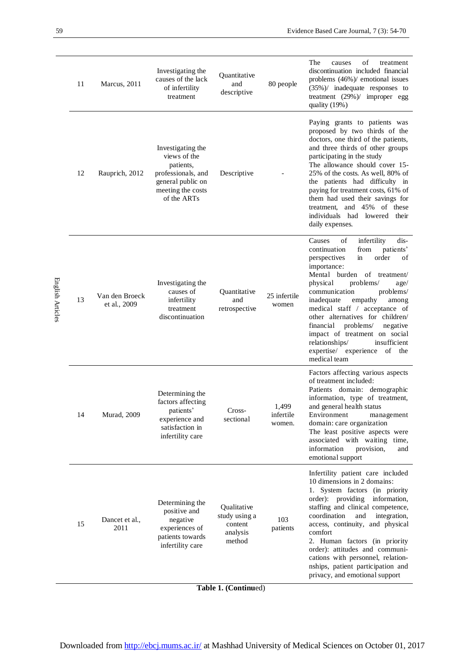|                  | 11 | Marcus, 2011                   | Investigating the<br>causes of the lack<br>of infertility<br>treatment                                                        | Quantitative<br>and<br>descriptive                            | 80 people                    | The<br>of<br>treatment<br>causes<br>discontinuation included financial<br>problems (46%)/ emotional issues<br>$(35%)$ inadequate responses to<br>treatment $(29%)$ improper egg<br>quality (19%)                                                                                                                                                                                                                                                                                                 |
|------------------|----|--------------------------------|-------------------------------------------------------------------------------------------------------------------------------|---------------------------------------------------------------|------------------------------|--------------------------------------------------------------------------------------------------------------------------------------------------------------------------------------------------------------------------------------------------------------------------------------------------------------------------------------------------------------------------------------------------------------------------------------------------------------------------------------------------|
|                  | 12 | Rauprich, 2012                 | Investigating the<br>views of the<br>patients.<br>professionals, and<br>general public on<br>meeting the costs<br>of the ARTs | Descriptive                                                   |                              | Paying grants to patients was<br>proposed by two thirds of the<br>doctors, one third of the patients,<br>and three thirds of other groups<br>participating in the study<br>The allowance should cover 15-<br>25% of the costs. As well, 80% of<br>the patients had difficulty in<br>paying for treatment costs, 61% of<br>them had used their savings for<br>and 45% of these<br>treatment,<br>individuals had lowered their<br>daily expenses.                                                  |
| English Articles | 13 | Van den Broeck<br>et al., 2009 | Investigating the<br>causes of<br>infertility<br>treatment<br>discontinuation                                                 | Quantitative<br>and<br>retrospective                          | 25 infertile<br>women        | of<br>dis-<br>Causes<br>infertility<br>from<br>patients'<br>continuation<br>order<br>of<br>perspectives<br>in<br>importance:<br>Mental burden<br>of treatment/<br>physical<br>problems/<br>age/<br>problems/<br>communication<br>inadequate<br>empathy<br>among<br>medical staff / acceptance of<br>other alternatives for children/<br>financial<br>problems/<br>negative<br>impact of treatment on social<br>relationships/<br>insufficient<br>expertise/ experience<br>of the<br>medical team |
|                  | 14 | <b>Murad</b> , 2009            | Determining the<br>factors affecting<br>patients'<br>experience and<br>satisfaction in<br>infertility care                    | Cross-<br>sectional                                           | 1,499<br>infertile<br>women. | Factors affecting various aspects<br>of treatment included:<br>Patients domain: demographic<br>information, type of treatment,<br>and general health status<br>Environment<br>management<br>domain: care organization<br>The least positive aspects were<br>associated with waiting time,<br>information<br>provision,<br>and<br>emotional support                                                                                                                                               |
|                  | 15 | Dancet et al.,<br>2011         | Determining the<br>positive and<br>negative<br>experiences of<br>patients towards<br>infertility care                         | Qualitative<br>study using a<br>content<br>analysis<br>method | 103<br>patients              | Infertility patient care included<br>10 dimensions in 2 domains:<br>1. System factors (in priority<br>order): providing<br>information,<br>staffing and clinical competence,<br>coordination<br>and<br>integration,<br>access, continuity, and physical<br>comfort<br>2. Human factors (in priority<br>order): attitudes and communi-<br>cations with personnel, relation-<br>nships, patient participation and                                                                                  |
|                  |    |                                |                                                                                                                               |                                                               |                              | privacy, and emotional support                                                                                                                                                                                                                                                                                                                                                                                                                                                                   |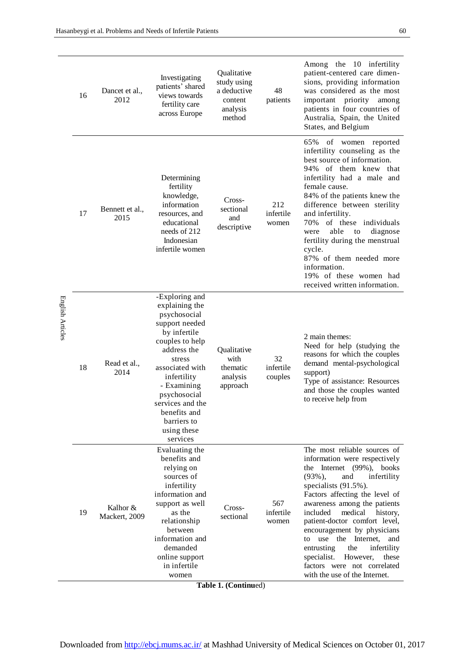| English Articles | 16 | Dancet et al.,<br>2012    | Investigating<br>patients' shared<br>views towards<br>fertility care<br>across Europe                                                                                                                                                                                         | Qualitative<br>study using<br>a deductive<br>content<br>analysis<br>method | 48<br>patients             | Among the 10 infertility<br>patient-centered care dimen-<br>sions, providing information<br>was considered as the most<br>important priority<br>among<br>patients in four countries of<br>Australia, Spain, the United<br>States, and Belgium                                                                                                                                                                                                                                                         |
|------------------|----|---------------------------|-------------------------------------------------------------------------------------------------------------------------------------------------------------------------------------------------------------------------------------------------------------------------------|----------------------------------------------------------------------------|----------------------------|-------------------------------------------------------------------------------------------------------------------------------------------------------------------------------------------------------------------------------------------------------------------------------------------------------------------------------------------------------------------------------------------------------------------------------------------------------------------------------------------------------|
|                  | 17 | Bennett et al.,<br>2015   | Determining<br>fertility<br>knowledge,<br>information<br>resources, and<br>educational<br>needs of 212<br>Indonesian<br>infertile women                                                                                                                                       | Cross-<br>sectional<br>and<br>descriptive                                  | 212<br>infertile<br>women  | 65%<br>of women reported<br>infertility counseling as the<br>best source of information.<br>94% of them knew that<br>infertility had a male and<br>female cause.<br>84% of the patients knew the<br>difference between sterility<br>and infertility.<br>70% of these individuals<br>able<br>diagnose<br>were<br>to<br>fertility during the menstrual<br>cycle.<br>87% of them needed more<br>information.<br>19% of these women had<br>received written information.                                  |
|                  | 18 | Read et al.,<br>2014      | -Exploring and<br>explaining the<br>psychosocial<br>support needed<br>by infertile<br>couples to help<br>address the<br>stress<br>associated with<br>infertility<br>- Examining<br>psychosocial<br>services and the<br>benefits and<br>barriers to<br>using these<br>services | Qualitative<br>with<br>thematic<br>analysis<br>approach                    | 32<br>infertile<br>couples | 2 main themes:<br>Need for help (studying the<br>reasons for which the couples<br>demand mental-psychological<br>support)<br>Type of assistance: Resources<br>and those the couples wanted<br>to receive help from                                                                                                                                                                                                                                                                                    |
|                  | 19 | Kalhor &<br>Mackert, 2009 | Evaluating the<br>benefits and<br>relying on<br>sources of<br>infertility<br>information and<br>support as well<br>as the<br>relationship<br>between<br>information and<br>demanded<br>online support<br>in infertile<br>women                                                | Cross-<br>sectional                                                        | 567<br>infertile<br>women  | The most reliable sources of<br>information were respectively<br>the Internet (99%), books<br>$(93\%)$ ,<br>and<br>infertility<br>specialists (91.5%).<br>Factors affecting the level of<br>awareness among the patients<br>included<br>medical<br>history,<br>patient-doctor comfort level,<br>encouragement by physicians<br>use the Internet,<br>to<br>and<br>entrusting<br>the<br>infertility<br>specialist.<br>However,<br>these<br>factors were not correlated<br>with the use of the Internet. |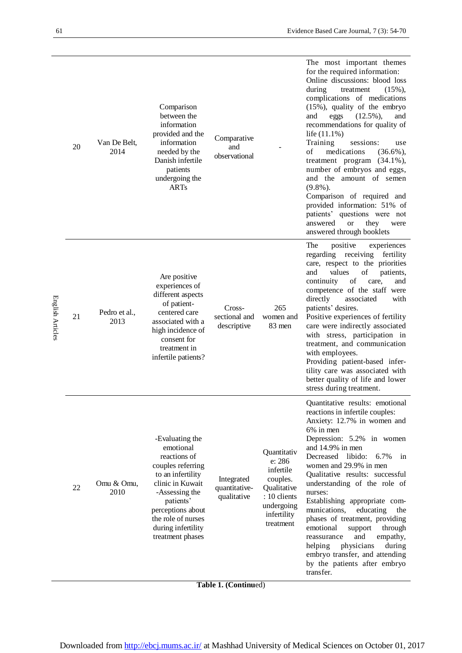| English Articles | 20 | Van De Belt,<br>2014  | Comparison<br>between the<br>information<br>provided and the<br>information<br>needed by the<br>Danish infertile<br>patients<br>undergoing the<br><b>ARTs</b>                                                                  | Comparative<br>and<br>observational                              |                                                                                                                         | The most important themes<br>for the required information:<br>Online discussions: blood loss<br>during<br>$(15\%),$<br>treatment<br>complications of medications<br>(15%), quality of the embryo<br>$(12.5\%)$ ,<br>and<br>eggs<br>and<br>recommendations for quality of<br>life (11.1%)<br>Training<br>sessions:<br>use<br>of<br>medications<br>$(36.6\%)$<br>treatment program<br>$(34.1\%)$<br>number of embryos and eggs,<br>and the amount of semen<br>$(9.8\%)$ .<br>Comparison of required and<br>provided information: 51% of<br>patients' questions were not<br>answered<br><b>or</b><br>they<br>were<br>answered through booklets |
|------------------|----|-----------------------|--------------------------------------------------------------------------------------------------------------------------------------------------------------------------------------------------------------------------------|------------------------------------------------------------------|-------------------------------------------------------------------------------------------------------------------------|---------------------------------------------------------------------------------------------------------------------------------------------------------------------------------------------------------------------------------------------------------------------------------------------------------------------------------------------------------------------------------------------------------------------------------------------------------------------------------------------------------------------------------------------------------------------------------------------------------------------------------------------|
|                  | 21 | Pedro et al.,<br>2013 | Are positive<br>experiences of<br>different aspects<br>of patient-<br>centered care<br>associated with a<br>high incidence of<br>consent for<br>treatment in<br>infertile patients?                                            | Cross-<br>sectional and<br>descriptive                           | 265<br>women and<br>83 men                                                                                              | positive<br>The<br>experiences<br>regarding receiving<br>fertility<br>care, respect to the priorities<br>values<br>and<br>of<br>patients,<br>continuity<br>of<br>care,<br>and<br>competence of the staff were<br>directly<br>associated<br>with<br>patients' desires.<br>Positive experiences of fertility<br>care were indirectly associated<br>with stress, participation in<br>treatment, and communication<br>with employees.<br>Providing patient-based infer-<br>tility care was associated with<br>better quality of life and lower<br>stress during treatment.                                                                      |
|                  | 22 | Omu & Omu,<br>2010    | -Evaluating the<br>emotional<br>reactions of<br>couples referring<br>to an infertility<br>clinic in Kuwait<br>-Assessing the<br>patients'<br>perceptions about<br>the role of nurses<br>during infertility<br>treatment phases | Integrated<br>quantitative-<br>qualitative<br>$T_2L1_2 1/(C_24)$ | Quantitativ<br>e: 286<br>infertile<br>couples.<br>Qualitative<br>: 10 clients<br>undergoing<br>infertility<br>treatment | Quantitative results: emotional<br>reactions in infertile couples:<br>Anxiety: 12.7% in women and<br>$6\%$ in men<br>Depression: 5.2% in women<br>and 14.9% in men<br>Decreased libido:<br>6.7%<br>in<br>women and 29.9% in men<br>Qualitative results: successful<br>understanding of the role of<br>nurses:<br>Establishing appropriate com-<br>munications,<br>educating<br>the<br>phases of treatment, providing<br>emotional<br>support<br>through<br>and<br>empathy,<br>reassurance<br>physicians<br>helping<br>during<br>embryo transfer, and attending<br>by the patients after embryo<br>transfer.                                 |

**Table 1. (Continu**ed)

Downloaded from<http://ebcj.mums.ac.ir/> at Mashhad University of Medical Sciences on October 01, 2017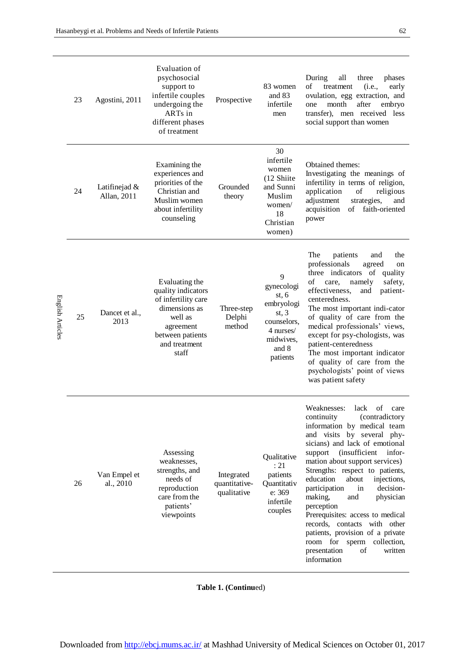$\overline{\phantom{0}}$ 

|                  | 23 | Agostini, 2011               | Evaluation of<br>psychosocial<br>support to<br>infertile couples<br>undergoing the<br>ARTs in<br>different phases<br>of treatment                  | Prospective                                | 83 women<br>and 83<br>infertile<br>men                                                                        | During<br>all<br>three<br>phases<br>of<br>(i.e.,<br>early<br>treatment<br>ovulation, egg extraction, and<br>month<br>after<br>embryo<br>one<br>transfer), men received less<br>social support than women                                                                                                                                                                                                                                                                                                                                                                                       |
|------------------|----|------------------------------|----------------------------------------------------------------------------------------------------------------------------------------------------|--------------------------------------------|---------------------------------------------------------------------------------------------------------------|------------------------------------------------------------------------------------------------------------------------------------------------------------------------------------------------------------------------------------------------------------------------------------------------------------------------------------------------------------------------------------------------------------------------------------------------------------------------------------------------------------------------------------------------------------------------------------------------|
|                  | 24 | Latifinejad &<br>Allan, 2011 | Examining the<br>experiences and<br>priorities of the<br>Christian and<br>Muslim women<br>about infertility<br>counseling                          | Grounded<br>theory                         | 30<br>infertile<br>women<br>(12 Shiite<br>and Sunni<br>Muslim<br>women/<br>18<br>Christian<br>women)          | Obtained themes:<br>Investigating the meanings of<br>infertility in terms of religion,<br>application<br>religious<br>of<br>adjustment<br>strategies,<br>and<br>of faith-oriented<br>acquisition<br>power                                                                                                                                                                                                                                                                                                                                                                                      |
| English Articles | 25 | Dancet et al.,<br>2013       | Evaluating the<br>quality indicators<br>of infertility care<br>dimensions as<br>well as<br>agreement<br>between patients<br>and treatment<br>staff | Three-step<br>Delphi<br>method             | 9<br>gynecologi<br>st, 6<br>embryologi<br>st, 3<br>counselors,<br>4 nurses/<br>midwives,<br>and 8<br>patients | The<br>patients<br>the<br>and<br>professionals<br>agreed<br>on<br>three indicators of quality<br>of<br>safety,<br>namely<br>care,<br>effectiveness,<br>patient-<br>and<br>centeredness.<br>The most important indi-cator<br>of quality of care from the<br>medical professionals' views,<br>except for psy-chologists, was<br>patient-centeredness<br>The most important indicator<br>of quality of care from the<br>psychologists' point of views<br>was patient safety                                                                                                                       |
|                  | 26 | Van Empel et<br>al., 2010    | Assessing<br>weaknesses,<br>strengths, and<br>needs of<br>reproduction<br>care from the<br>patients'<br>viewpoints                                 | Integrated<br>quantitative-<br>qualitative | Qualitative<br>: 21<br>patients<br>Quantitativ<br>e: 369<br>infertile<br>couples                              | Weaknesses:<br>lack<br>of<br>care<br>(contradictory<br>continuity<br>information by medical team<br>and visits by several phy-<br>sicians) and lack of emotional<br><i>(insufficient</i><br>infor-<br>support<br>mation about support services)<br>Strengths: respect to patients,<br>education<br>about<br>injections,<br>decision-<br>participation<br>in<br>making,<br>and<br>physician<br>perception<br>Prerequisites: access to medical<br>records, contacts with other<br>patients, provision of a private<br>room for sperm collection,<br>presentation<br>of<br>written<br>information |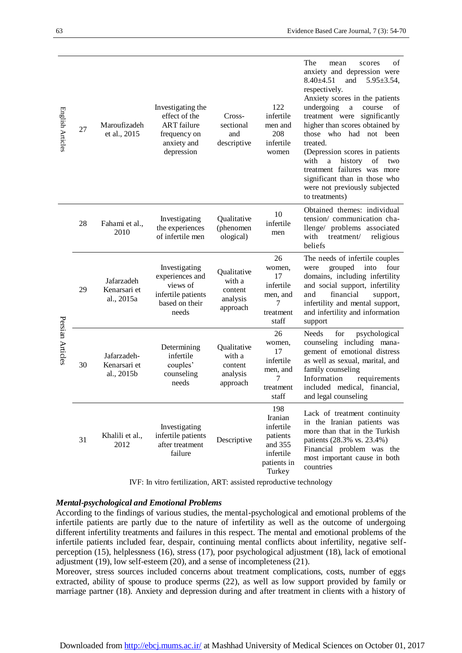| English Articles | 27 | Maroufizadeh<br>et al., 2015              | Investigating the<br>effect of the<br><b>ART</b> failure<br>frequency on<br>anxiety and<br>depression | Cross-<br>sectional<br>and<br>descriptive                | 122<br>infertile<br>men and<br>208<br>infertile<br>women                                 | The<br>of<br>mean<br>scores<br>anxiety and depression were<br>$8.40 + 4.51$<br>and<br>$5.95 \pm 3.54$ ,<br>respectively.<br>Anxiety scores in the patients<br>undergoing<br>course<br>$\rm{a}$<br>οf<br>treatment were<br>significantly<br>higher than scores obtained by<br>those who had not been<br>treated.<br>(Depression scores in patients<br>with<br>history<br>$\mathbf{a}$<br>of<br>two<br>treatment failures was more<br>significant than in those who<br>were not previously subjected<br>to treatments) |
|------------------|----|-------------------------------------------|-------------------------------------------------------------------------------------------------------|----------------------------------------------------------|------------------------------------------------------------------------------------------|----------------------------------------------------------------------------------------------------------------------------------------------------------------------------------------------------------------------------------------------------------------------------------------------------------------------------------------------------------------------------------------------------------------------------------------------------------------------------------------------------------------------|
| Persian Articles | 28 | Fahami et al.,<br>2010                    | Investigating<br>the experiences<br>of infertile men                                                  | Qualitative<br>(phenomen<br>ological)                    | 10<br>infertile<br>men                                                                   | Obtained themes: individual<br>tension/ communication cha-<br>llenge/ problems associated<br>with<br>treatment/<br>religious<br>beliefs                                                                                                                                                                                                                                                                                                                                                                              |
|                  | 29 | Jafarzadeh<br>Kenarsari et<br>al., 2015a  | Investigating<br>experiences and<br>views of<br>infertile patients<br>based on their<br>needs         | Qualitative<br>with a<br>content<br>analysis<br>approach | 26<br>women,<br>17<br>infertile<br>men, and<br>7<br>treatment<br>staff                   | The needs of infertile couples<br>grouped<br>into<br>four<br>were<br>domains, including infertility<br>and social support, infertility<br>financial<br>and<br>support,<br>infertility and mental support,<br>and infertility and information<br>support                                                                                                                                                                                                                                                              |
|                  | 30 | Jafarzadeh-<br>Kenarsari et<br>al., 2015b | Determining<br>infertile<br>couples'<br>counseling<br>needs                                           | Oualitative<br>with a<br>content<br>analysis<br>approach | 26<br>women,<br>17<br>infertile<br>men, and<br>7<br>treatment<br>staff                   | for<br><b>Needs</b><br>psychological<br>counseling including mana-<br>gement of emotional distress<br>as well as sexual, marital, and<br>family counseling<br>Information<br>requirements<br>included medical, financial,<br>and legal counseling                                                                                                                                                                                                                                                                    |
|                  | 31 | Khalili et al.,<br>2012                   | Investigating<br>infertile patients<br>after treatment<br>failure                                     | Descriptive                                              | 198<br>Iranian<br>infertile<br>patients<br>and 355<br>infertile<br>patients in<br>Turkey | Lack of treatment continuity<br>in the Iranian patients was<br>more than that in the Turkish<br>patients (28.3% vs. 23.4%)<br>Financial problem was the<br>most important cause in both<br>countries                                                                                                                                                                                                                                                                                                                 |

IVF: [In vitro fertilization,](http://americanpregnancy.org/infertility/in-vitro-fertilization/) ART: assisted reproductive technology

#### *Mental-psychological and Emotional Problems*

According to the findings of various studies, the mental-psychological and emotional problems of the infertile patients are partly due to the nature of infertility as well as the outcome of undergoing different infertility treatments and failures in this respect. The mental and emotional problems of the infertile patients included fear, despair, continuing mental conflicts about infertility, negative selfperception (15), helplessness (16), stress (17), poor psychological adjustment (18), lack of emotional adjustment (19), low self-esteem (20), and a sense of incompleteness (21).

Moreover, stress sources included concerns about treatment complications, costs, number of eggs extracted, ability of spouse to produce sperms (22), as well as low support provided by family or marriage partner (18). Anxiety and depression during and after treatment in clients with a history of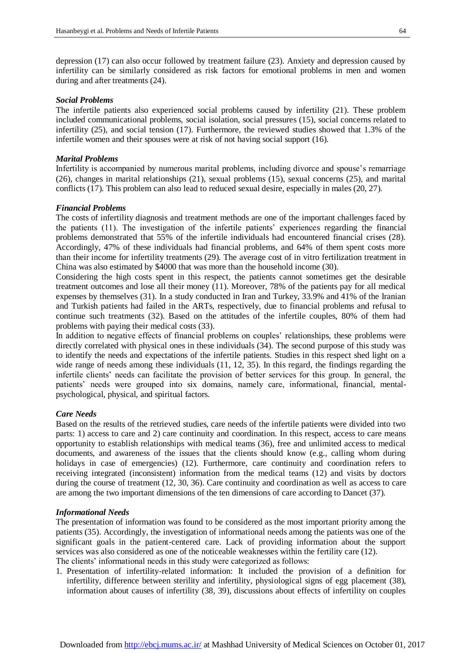depression (17) can also occur followed by treatment failure (23). Anxiety and depression caused by infertility can be similarly considered as risk factors for emotional problems in men and women during and after treatments (24).

#### *Social Problems*

The infertile patients also experienced social problems caused by infertility (21). These problem included communicational problems, social isolation, social pressures (15), social concerns related to infertility (25), and social tension (17). Furthermore, the reviewed studies showed that 1.3% of the infertile women and their spouses were at risk of not having social support (16).

#### *Marital Problems*

Infertility is accompanied by numerous marital problems, including divorce and spouse's remarriage (26), changes in marital relationships (21), sexual problems (15), sexual concerns (25), and marital conflicts (17). This problem can also lead to reduced sexual desire, especially in males (20, 27).

#### *Financial Problems*

The costs of infertility diagnosis and treatment methods are one of the important challenges faced by the patients (11). The investigation of the infertile patients' experiences regarding the financial problems demonstrated that 55% of the infertile individuals had encountered financial crises (28). Accordingly, 47% of these individuals had financial problems, and 64% of them spent costs more than their income for infertility treatments (29). The average cost of in vitro fertilization treatment in China was also estimated by \$4000 that was more than the household income (30).

Considering the high costs spent in this respect, the patients cannot sometimes get the desirable treatment outcomes and lose all their money (11). Moreover, 78% of the patients pay for all medical expenses by themselves (31). In a study conducted in Iran and Turkey, 33.9% and 41% of the Iranian and Turkish patients had failed in the ARTs, respectively, due to financial problems and refusal to continue such treatments (32). Based on the attitudes of the infertile couples, 80% of them had problems with paying their medical costs (33).

In addition to negative effects of financial problems on couples' relationships, these problems were directly correlated with physical ones in these individuals (34). The second purpose of this study was to identify the needs and expectations of the infertile patients. Studies in this respect shed light on a wide range of needs among these individuals (11, 12, 35). In this regard, the findings regarding the infertile clients' needs can facilitate the provision of better services for this group. In general, the patients' needs were grouped into six domains, namely care, informational, financial, mentalpsychological, physical, and spiritual factors.

#### *Care Needs*

Based on the results of the retrieved studies, care needs of the infertile patients were divided into two parts: 1) access to care and 2) care continuity and coordination. In this respect, access to care means opportunity to establish relationships with medical teams (36), free and unlimited access to medical documents, and awareness of the issues that the clients should know (e.g., calling whom during holidays in case of emergencies) (12). Furthermore, care continuity and coordination refers to receiving integrated (inconsistent) information from the medical teams (12) and visits by doctors during the course of treatment (12, 30, 36). Care continuity and coordination as well as access to care are among the two important dimensions of the ten dimensions of care according to Dancet (37).

#### *Informational Needs*

The presentation of information was found to be considered as the most important priority among the patients (35). Accordingly, the investigation of informational needs among the patients was one of the significant goals in the patient-centered care. Lack of providing information about the support services was also considered as one of the noticeable weaknesses within the fertility care (12). The clients' informational needs in this study were categorized as follows:

1. Presentation of infertility-related information: It included the provision of a definition for infertility, difference between sterility and infertility, physiological signs of egg placement (38), information about causes of infertility (38, 39), discussions about effects of infertility on couples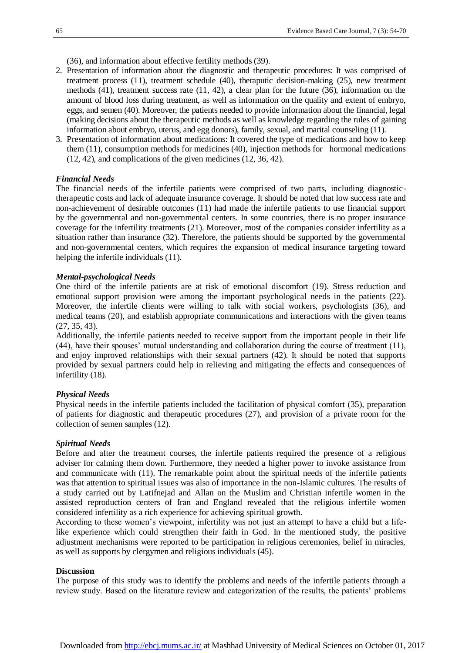(36), and information about effective fertility methods (39).

- 2. Presentation of information about the diagnostic and therapeutic procedures: It was comprised of treatment process (11), treatment schedule (40), theraputic decision-making (25), new treatment methods (41), treatment success rate (11, 42), a clear plan for the future (36), information on the amount of blood loss during treatment, as well as information on the quality and extent of embryo, eggs, and semen (40). Moreover, the patients needed to provide information about the financial, legal (making decisions about the therapeutic methods as well as knowledge regarding the rules of gaining information about embryo, uterus, and egg donors), family, sexual, and marital counseling (11).
- 3. Presentation of information about medications: It covered the type of medications and how to keep them (11), consumption methods for medicines (40), injection methods for hormonal medications (12, 42), and complications of the given medicines (12, 36, 42).

#### *Financial Needs*

The financial needs of the infertile patients were comprised of two parts, including diagnostictherapeutic costs and lack of adequate insurance coverage. It should be noted that low success rate and non-achievement of desirable outcomes (11) had made the infertile patients to use financial support by the governmental and non-governmental centers. In some countries, there is no proper insurance coverage for the infertility treatments (21). Moreover, most of the companies consider infertility as a situation rather than insurance (32). Therefore, the patients should be supported by the governmental and non-governmental centers, which requires the expansion of medical insurance targeting toward helping the infertile individuals (11).

#### *Mental-psychological Needs*

One third of the infertile patients are at risk of emotional discomfort (19). Stress reduction and emotional support provision were among the important psychological needs in the patients (22). Moreover, the infertile clients were willing to talk with social workers, psychologists (36), and medical teams (20), and establish appropriate communications and interactions with the given teams (27, 35, 43).

Additionally, the infertile patients needed to receive support from the important people in their life (44), have their spouses' mutual understanding and collaboration during the course of treatment (11), and enjoy improved relationships with their sexual partners (42). It should be noted that supports provided by sexual partners could help in relieving and mitigating the effects and consequences of infertility (18).

#### *Physical Needs*

Physical needs in the infertile patients included the facilitation of physical comfort (35), preparation of patients for diagnostic and therapeutic procedures (27), and provision of a private room for the collection of semen samples (12).

#### *Spiritual Needs*

Before and after the treatment courses, the infertile patients required the presence of a religious adviser for calming them down. Furthermore, they needed a higher power to invoke assistance from and communicate with (11). The remarkable point about the spiritual needs of the infertile patients was that attention to spiritual issues was also of importance in the non-Islamic cultures. The results of a study carried out by Latifnejad and Allan on the Muslim and Christian infertile women in the assisted reproduction centers of Iran and England revealed that the religious infertile women considered infertility as a rich experience for achieving spiritual growth.

According to these women's viewpoint, infertility was not just an attempt to have a child but a lifelike experience which could strengthen their faith in God. In the mentioned study, the positive adjustment mechanisms were reported to be participation in religious ceremonies, belief in miracles, as well as supports by clergymen and religious individuals (45).

#### **Discussion**

The purpose of this study was to identify the problems and needs of the infertile patients through a review study. Based on the literature review and categorization of the results, the patients' problems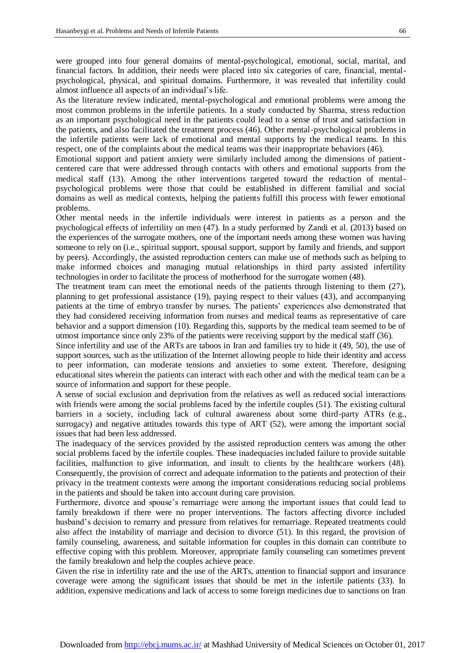were grouped into four general domains of mental-psychological, emotional, social, marital, and financial factors. In addition, their needs were placed into six categories of care, financial, mentalpsychological, physical, and spiritual domains. Furthermore, it was revealed that infertility could almost influence all aspects of an individual's life.

As the literature review indicated, mental-psychological and emotional problems were among the most common problems in the infertile patients. In a study conducted by Sharma, stress reduction as an important psychological need in the patients could lead to a sense of trust and satisfaction in the patients, and also facilitated the treatment process (46). Other mental-psychological problems in the infertile patients were lack of emotional and mental supports by the medical teams. In this respect, one of the complaints about the medical teams was their inappropriate behaviors (46).

Emotional support and patient anxiety were similarly included among the dimensions of patientcentered care that were addressed through contacts with others and emotional supports from the medical staff (13). Among the other interventions targeted toward the reduction of mentalpsychological problems were those that could be established in different familial and social domains as well as medical contexts, helping the patients fulfill this process with fewer emotional problems.

Other mental needs in the infertile individuals were interest in patients as a person and the psychological effects of infertility on men (47). In a study performed by Zandi et al. (2013) based on the experiences of the surrogate mothers, one of the important needs among these women was having someone to rely on (i.e., spiritual support, spousal support, support by family and friends, and support by peers). Accordingly, the assisted reproduction centers can make use of methods such as helping to make informed choices and managing mutual relationships in third party assisted infertility technologies in order to facilitate the process of motherhood for the surrogate women (48).

The treatment team can meet the emotional needs of the patients through listening to them (27), planning to get professional assistance (19), paying respect to their values (43), and accompanying patients at the time of embryo transfer by nurses. The patients' experiences also demonstrated that they had considered receiving information from nurses and medical teams as representative of care behavior and a support dimension (10). Regarding this, supports by the medical team seemed to be of utmost importance since only 23% of the patients were receiving support by the medical staff (36).

Since infertility and use of the ARTs are taboos in Iran and families try to hide it (49, 50), the use of support sources, such as the utilization of the Internet allowing people to hide their identity and access to peer information, can moderate tensions and anxieties to some extent. Therefore, designing educational sites wherein the patients can interact with each other and with the medical team can be a source of information and support for these people.

A sense of social exclusion and deprivation from the relatives as well as reduced social interactions with friends were among the social problems faced by the infertile couples (51). The existing cultural barriers in a society, including lack of cultural awareness about some third-party ATRs (e.g., surrogacy) and negative attitudes towards this type of ART (52), were among the important social issues that had been less addressed.

The inadequacy of the services provided by the assisted reproduction centers was among the other social problems faced by the infertile couples. These inadequacies included failure to provide suitable facilities, malfunction to give information, and insult to clients by the healthcare workers (48). Consequently, the provision of correct and adequate information to the patients and protection of their privacy in the treatment contexts were among the important considerations reducing social problems in the patients and should be taken into account during care provision.

Furthermore, divorce and spouse's remarriage were among the important issues that could lead to family breakdown if there were no proper interventions. The factors affecting divorce included husband's decision to remarry and pressure from relatives for remarriage. Repeated treatments could also affect the instability of marriage and decision to divorce (51). In this regard, the provision of family counseling, awareness, and suitable information for couples in this domain can contribute to effective coping with this problem. Moreover, appropriate family counseling can sometimes prevent the family breakdown and help the couples achieve peace.

Given the rise in infertility rate and the use of the ARTs, attention to financial support and insurance coverage were among the significant issues that should be met in the infertile patients (33). In addition, expensive medications and lack of access to some foreign medicines due to sanctions on Iran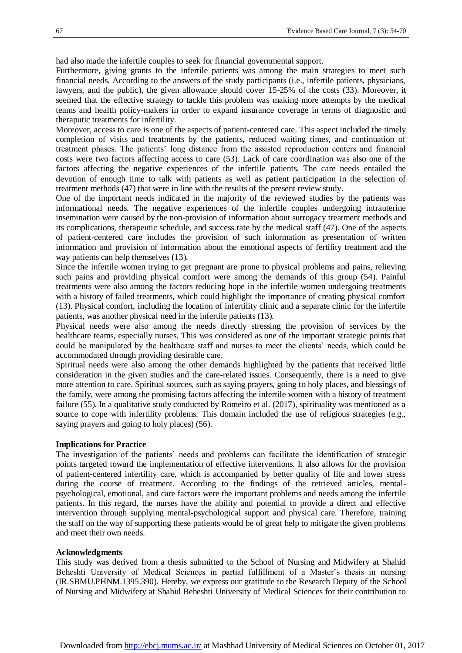had also made the infertile couples to seek for financial governmental support.

Furthermore, giving grants to the infertile patients was among the main strategies to meet such financial needs. According to the answers of the study participants (i.e., infertile patients, physicians, lawyers, and the public), the given allowance should cover 15-25% of the costs (33). Moreover, it seemed that the effective strategy to tackle this problem was making more attempts by the medical teams and health policy-makers in order to expand insurance coverage in terms of diagnostic and theraputic treatments for infertility.

Moreover, access to care is one of the aspects of patient-centered care. This aspect included the timely completion of visits and treatments by the patients, reduced waiting times, and continuation of treatment phases. The patients' long distance from the assisted reproduction centers and financial costs were two factors affecting access to care (53). Lack of care coordination was also one of the factors affecting the negative experiences of the infertile patients. The care needs entailed the devotion of enough time to talk with patients as well as patient participation in the selection of treatment methods (47) that were in line with the results of the present review study.

One of the important needs indicated in the majority of the reviewed studies by the patients was informational needs. The negative experiences of the infertile couples undergoing intrauterine insemination were caused by the non-provision of information about surrogacy treatment methods and its complications, therapeutic schedule, and success rate by the medical staff (47). One of the aspects of patient-centered care includes the provision of such information as presentation of written information and provision of information about the emotional aspects of fertility treatment and the way patients can help themselves (13).

Since the infertile women trying to get pregnant are prone to physical problems and pains, relieving such pains and providing physical comfort were among the demands of this group (54). Painful treatments were also among the factors reducing hope in the infertile women undergoing treatments with a history of failed treatments, which could highlight the importance of creating physical comfort (13). Physical comfort, including the location of infertility clinic and a separate clinic for the infertile patients, was another physical need in the infertile patients (13).

Physical needs were also among the needs directly stressing the provision of services by the healthcare teams, especially nurses. This was considered as one of the important strategic points that could be manipulated by the healthcare staff and nurses to meet the clients' needs, which could be accommodated through providing desirable care.

Spiritual needs were also among the other demands highlighted by the patients that received little consideration in the given studies and the care-related issues. Consequently, there is a need to give more attention to care. Spiritual sources, such as saying prayers, going to holy places, and blessings of the family, were among the promising factors affecting the infertile women with a history of treatment failure (55). In a qualitative study conducted by Romeiro et al. (2017), spirituality was mentioned as a source to cope with infertility problems. This domain included the use of religious strategies (e.g., saying prayers and going to holy places) (56).

#### **Implications for Practice**

The investigation of the patients' needs and problems can facilitate the identification of strategic points targeted toward the implementation of effective interventions. It also allows for the provision of patient-centered infertility care, which is accompanied by better quality of life and lower stress during the course of treatment. According to the findings of the retrieved articles, mentalpsychological, emotional, and care factors were the important problems and needs among the infertile patients. In this regard, the nurses have the ability and potential to provide a direct and effective intervention through supplying mental-psychological support and physical care. Therefore, training the staff on the way of supporting these patients would be of great help to mitigate the given problems and meet their own needs.

#### **Acknowledgments**

This study was derived from a thesis submitted to the School of Nursing and Midwifery at Shahid Beheshti University of Medical Sciences in partial fulfillment of a Master's thesis in nursing (IR.SBMU.PHNM.1395.390). Hereby, we express our gratitude to the Research Deputy of the School of Nursing and Midwifery at Shahid Beheshti University of Medical Sciences for their contribution to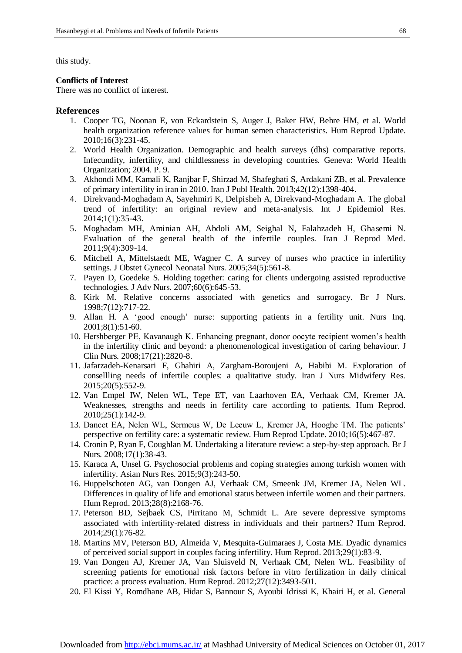this study.

#### **Conflicts of Interest**

There was no conflict of interest.

#### **References**

- 1. Cooper TG, Noonan E, von Eckardstein S, Auger J, Baker HW, Behre HM, et al. World health organization reference values for human semen characteristics. Hum Reprod Update. 2010;16(3):231-45.
- 2. World Health Organization. Demographic and health surveys (dhs) comparative reports. Infecundity, infertility, and childlessness in developing countries. Geneva: World Health Organization; 2004. P. 9.
- 3. Akhondi MM, Kamali K, Ranjbar F, Shirzad M, Shafeghati S, Ardakani ZB, et al. Prevalence of primary infertility in iran in 2010. Iran J Publ Health. 2013;42(12):1398-404.
- 4. Direkvand-Moghadam A, Sayehmiri K, Delpisheh A, Direkvand-Moghadam A. The global trend of infertility: an original review and meta-analysis. Int J Epidemiol Res. 2014;1(1):35-43.
- 5. Moghadam MH, Aminian AH, Abdoli AM, Seighal N, Falahzadeh H, Ghasemi N. Evaluation of the general health of the infertile couples. Iran J Reprod Med. 2011;9(4):309-14.
- 6. Mitchell A, Mittelstaedt ME, Wagner C. A survey of nurses who practice in infertility settings. J Obstet Gynecol Neonatal Nurs. 2005;34(5):561-8.
- 7. Payen D, Goedeke S. Holding together: caring for clients undergoing assisted reproductive technologies. J Adv Nurs. 2007;60(6):645-53.
- 8. Kirk M. Relative concerns associated with genetics and surrogacy. Br J Nurs. 1998;7(12):717-22.
- 9. Allan H. A 'good enough' nurse: supporting patients in a fertility unit. Nurs Inq. 2001;8(1):51-60.
- 10. Hershberger PE, Kavanaugh K. Enhancing pregnant, donor oocyte recipient women's health in the infertility clinic and beyond: a phenomenological investigation of caring behaviour. J Clin Nurs. 2008;17(21):2820-8.
- 11. Jafarzadeh-Kenarsari F, Ghahiri A, Zargham-Boroujeni A, Habibi M. Exploration of consellling needs of infertile couples: a qualitative study. Iran J Nurs Midwifery Res. 2015;20(5):552-9.
- 12. Van Empel IW, Nelen WL, Tepe ET, van Laarhoven EA, Verhaak CM, Kremer JA. Weaknesses, strengths and needs in fertility care according to patients. Hum Reprod. 2010;25(1):142-9.
- 13. Dancet EA, Nelen WL, Sermeus W, De Leeuw L, Kremer JA, Hooghe TM. The patients' perspective on fertility care: a systematic review. Hum Reprod Update. 2010;16(5):467-87.
- 14. Cronin P, Ryan F, Coughlan M. Undertaking a literature review: a step-by-step approach. Br J Nurs. 2008;17(1):38-43.
- 15. Karaca A, Unsel G. Psychosocial problems and coping strategies among turkish women with infertility. Asian Nurs Res. 2015;9(3):243-50.
- 16. Huppelschoten AG, van Dongen AJ, Verhaak CM, Smeenk JM, Kremer JA, Nelen WL. Differences in quality of life and emotional status between infertile women and their partners. Hum Reprod. 2013;28(8):2168-76.
- 17. Peterson BD, Sejbaek CS, Pirritano M, Schmidt L. Are severe depressive symptoms associated with infertility-related distress in individuals and their partners? Hum Reprod. 2014;29(1):76-82.
- 18. Martins MV, Peterson BD, Almeida V, Mesquita-Guimaraes J, Costa ME. Dyadic dynamics of perceived social support in couples facing infertility. Hum Reprod. 2013;29(1):83-9.
- 19. Van Dongen AJ, Kremer JA, Van Sluisveld N, Verhaak CM, Nelen WL. Feasibility of screening patients for emotional risk factors before in vitro fertilization in daily clinical practice: a process evaluation. Hum Reprod. 2012;27(12):3493-501.
- 20. El Kissi Y, Romdhane AB, Hidar S, Bannour S, Ayoubi Idrissi K, Khairi H, et al. General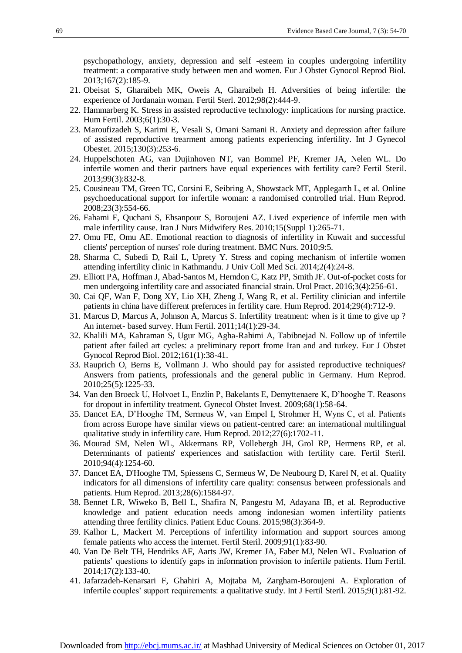psychopathology, anxiety, depression and self -esteem in couples undergoing infertility treatment: a comparative study between men and women. Eur J Obstet Gynocol Reprod Biol. 2013;167(2):185-9.

- 21. Obeisat S, Gharaibeh MK, Oweis A, Gharaibeh H. Adversities of being infertile: the experience of Jordanain woman. Fertil Sterl. 2012;98(2):444-9.
- 22. Hammarberg K. Stress in assisted reproductive technology: implications for nursing practice. Hum Fertil. 2003;6(1):30-3.
- 23. Maroufizadeh S, Karimi E, Vesali S, Omani Samani R. Anxiety and depression after failure of assisted reproductive trearment among patients experiencing infertility. Int J Gynecol Obestet. 2015;130(3):253-6.
- 24. Huppelschoten AG, van Dujinhoven NT, van Bommel PF, Kremer JA, Nelen WL. Do infertile women and therir partners have equal experiences with fertility care? Fertil Steril. 2013;99(3):832-8.
- 25. Cousineau TM, Green TC, Corsini E, Seibring A, Showstack MT, Applegarth L, et al. Online psychoeducational support for infertile woman: a randomised controlled trial. Hum Reprod. 2008;23(3):554-66.
- 26. Fahami F, Quchani S, Ehsanpour S, Boroujeni AZ. Lived experience of infertile men with male infertility cause. Iran J Nurs Midwifery Res. 2010;15(Suppl 1):265-71.
- 27. Omu FE, Omu AE. Emotional reaction to diagnosis of infertility in Kuwait and successful clients' perception of nurses' role during treatment. BMC Nurs. 2010;9:5.
- 28. Sharma C, Subedi D, Rail L, Uprety Y. Stress and coping mechanism of infertile women attending infertility clinic in Kathmandu. J Univ Coll Med Sci. 2014;2(4):24-8.
- 29. Elliott PA, Hoffman J, Abad-Santos M, Herndon C, Katz PP, Smith JF. Out-of-pocket costs for men undergoing infertility care and associated financial strain. Urol Pract. 2016;3(4):256-61.
- 30. Cai QF, Wan F, Dong XY, Lio XH, Zheng J, Wang R, et al. Fertility clinician and infertile patients in china have different prefernces in fertility care. Hum Reprod. 2014;29(4):712-9.
- 31. Marcus D, Marcus A, Johnson A, Marcus S. Infertility treatment: when is it time to give up ? An internet- based survey. Hum Fertil. 2011;14(1):29-34.
- 32. Khalili MA, Kahraman S, Ugur MG, Agha-Rahimi A, Tabibnejad N. Follow up of infertile patient after failed art cycles: a preliminary report frome Iran and and turkey. Eur J Obstet Gynocol Reprod Biol. 2012;161(1):38-41.
- 33. Rauprich O, Berns E, Vollmann J. Who should pay for assisted reproductive techniques? Answers from patients, professionals and the general public in Germany. Hum Reprod. 2010;25(5):1225-33.
- 34. Van den Broeck U, Holvoet L, Enzlin P, Bakelants E, Demyttenaere K, D'hooghe T. Reasons for dropout in infertility treatment. Gynecol Obstet Invest. 2009;68(1):58-64.
- 35. Dancet EA, D'Hooghe TM, Sermeus W, van Empel I, Strohmer H, Wyns C, et al. Patients from across Europe have similar views on patient-centred care: an international multilingual qualitative study in infertility care. Hum Reprod. 2012;27(6):1702-11.
- 36. Mourad SM, Nelen WL, Akkermans RP, Vollebergh JH, Grol RP, Hermens RP, et al. Determinants of patients' experiences and satisfaction with fertility care. Fertil Steril. 2010;94(4):1254-60.
- 37. [Dancet EA,](https://www.ncbi.nlm.nih.gov/pubmed/?term=Dancet%20EA%5BAuthor%5D&cauthor=true&cauthor_uid=23508250) [D'Hooghe TM,](https://www.ncbi.nlm.nih.gov/pubmed/?term=D%27Hooghe%20TM%5BAuthor%5D&cauthor=true&cauthor_uid=23508250) [Spiessens C,](https://www.ncbi.nlm.nih.gov/pubmed/?term=Spiessens%20C%5BAuthor%5D&cauthor=true&cauthor_uid=23508250) [Sermeus W,](https://www.ncbi.nlm.nih.gov/pubmed/?term=Sermeus%20W%5BAuthor%5D&cauthor=true&cauthor_uid=23508250) [De Neubourg D,](https://www.ncbi.nlm.nih.gov/pubmed/?term=De%20Neubourg%20D%5BAuthor%5D&cauthor=true&cauthor_uid=23508250) [Karel N,](https://www.ncbi.nlm.nih.gov/pubmed/?term=Karel%20N%5BAuthor%5D&cauthor=true&cauthor_uid=23508250) et al. Quality indicators for all dimensions of infertility care quality: consensus between professionals and patients. Hum Reprod. 2013;28(6):1584-97.
- 38. Bennet LR, Wiweko B, Bell L, Shafira N, Pangestu M, Adayana IB, et al. Reproductive knowledge and patient education needs among indonesian women infertility patients attending three fertility clinics. Patient Educ Couns. 2015;98(3):364-9.
- 39. Kalhor L, Mackert M. Perceptions of infertility information and support sources among female patients who access the internet. Fertil Steril. 2009;91(1):83-90.
- 40. Van De Belt TH, Hendriks AF, Aarts JW, Kremer JA, Faber MJ, Nelen WL. Evaluation of patients' questions to identify gaps in information provision to infertile patients. Hum Fertil. 2014;17(2):133-40.
- 41. Jafarzadeh-Kenarsari F, Ghahiri A, Mojtaba M, Zargham-Boroujeni A. Exploration of infertile couples' support requirements: a qualitative study. Int J Fertil Steril. 2015;9(1):81-92.